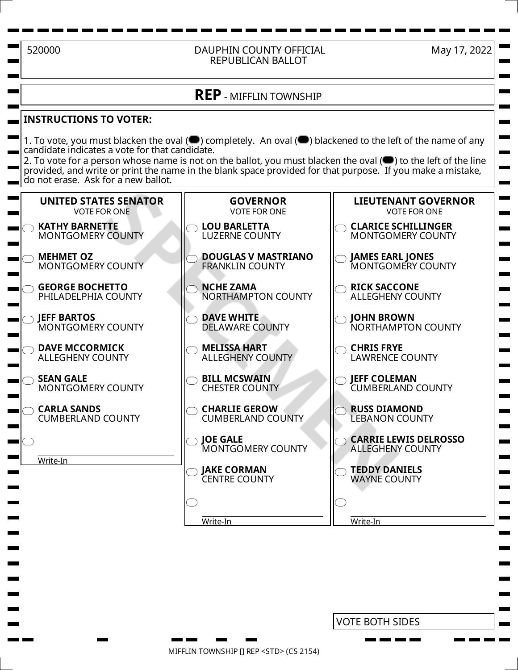## 520000 DAUPHIN COUNTY OFFICIAL REPUBLICAN BALLOT

May 17, 2022

## **REP** - MIFFLIN TOWNSHIP

## **INSTRUCTIONS TO VOTER:**

1. To vote, you must blacken the oval (O) completely. An oval (O) blackened to the left of the name of any candidate indicates a vote for that candidate.

2. To vote for a person whose name is not on the ballot, you must blacken the oval  $($ **)** to the left of the line provided, and write or print the name in the blank space provided for that purpose. If you make a mistake, do not erase. Ask for a new ballot.